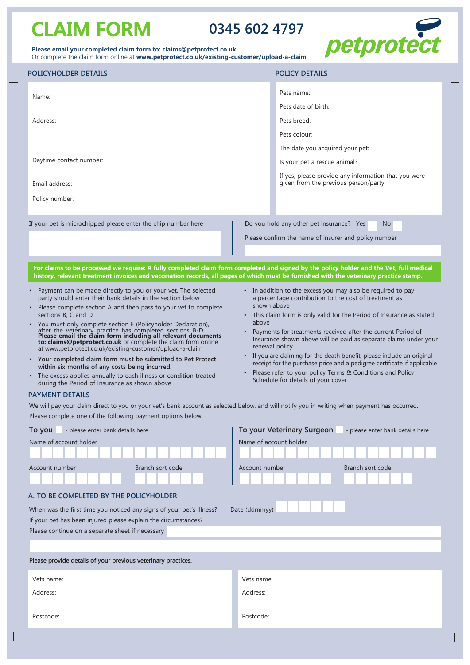# **CLAIM FORM 0345 602 4797**

 $\overline{+}$ 

 $\qquad \qquad +$ 



|  | Please email your completed claim form to: claims@petprotect.co.uk |                                                                                            |
|--|--------------------------------------------------------------------|--------------------------------------------------------------------------------------------|
|  |                                                                    | Or complete the claim form online at www.petprotect.co.uk/existing-customer/upload-a-claim |

| POLICYHOLDER DETAILS                                                                                                                                                                                                                                                                                                                                                                                                                                                                                                                                                                                                                                                                                                                                                                                                                                                                                                                                                                                                                                                                                                                                                                   | <b>POLICY DETAILS</b>                                                                                                                                                                                                                                                                                                                                                                                                                                                                                                                                                                                                                                                                                                                                                |  |  |
|----------------------------------------------------------------------------------------------------------------------------------------------------------------------------------------------------------------------------------------------------------------------------------------------------------------------------------------------------------------------------------------------------------------------------------------------------------------------------------------------------------------------------------------------------------------------------------------------------------------------------------------------------------------------------------------------------------------------------------------------------------------------------------------------------------------------------------------------------------------------------------------------------------------------------------------------------------------------------------------------------------------------------------------------------------------------------------------------------------------------------------------------------------------------------------------|----------------------------------------------------------------------------------------------------------------------------------------------------------------------------------------------------------------------------------------------------------------------------------------------------------------------------------------------------------------------------------------------------------------------------------------------------------------------------------------------------------------------------------------------------------------------------------------------------------------------------------------------------------------------------------------------------------------------------------------------------------------------|--|--|
| Name:                                                                                                                                                                                                                                                                                                                                                                                                                                                                                                                                                                                                                                                                                                                                                                                                                                                                                                                                                                                                                                                                                                                                                                                  | Pets name:                                                                                                                                                                                                                                                                                                                                                                                                                                                                                                                                                                                                                                                                                                                                                           |  |  |
|                                                                                                                                                                                                                                                                                                                                                                                                                                                                                                                                                                                                                                                                                                                                                                                                                                                                                                                                                                                                                                                                                                                                                                                        | Pets date of birth:                                                                                                                                                                                                                                                                                                                                                                                                                                                                                                                                                                                                                                                                                                                                                  |  |  |
| Address:                                                                                                                                                                                                                                                                                                                                                                                                                                                                                                                                                                                                                                                                                                                                                                                                                                                                                                                                                                                                                                                                                                                                                                               | Pets breed:                                                                                                                                                                                                                                                                                                                                                                                                                                                                                                                                                                                                                                                                                                                                                          |  |  |
|                                                                                                                                                                                                                                                                                                                                                                                                                                                                                                                                                                                                                                                                                                                                                                                                                                                                                                                                                                                                                                                                                                                                                                                        | Pets colour:                                                                                                                                                                                                                                                                                                                                                                                                                                                                                                                                                                                                                                                                                                                                                         |  |  |
|                                                                                                                                                                                                                                                                                                                                                                                                                                                                                                                                                                                                                                                                                                                                                                                                                                                                                                                                                                                                                                                                                                                                                                                        | The date you acquired your pet:                                                                                                                                                                                                                                                                                                                                                                                                                                                                                                                                                                                                                                                                                                                                      |  |  |
| Daytime contact number:                                                                                                                                                                                                                                                                                                                                                                                                                                                                                                                                                                                                                                                                                                                                                                                                                                                                                                                                                                                                                                                                                                                                                                | Is your pet a rescue animal?                                                                                                                                                                                                                                                                                                                                                                                                                                                                                                                                                                                                                                                                                                                                         |  |  |
| Email address:                                                                                                                                                                                                                                                                                                                                                                                                                                                                                                                                                                                                                                                                                                                                                                                                                                                                                                                                                                                                                                                                                                                                                                         | If yes, please provide any information that you were<br>given from the previous person/party:                                                                                                                                                                                                                                                                                                                                                                                                                                                                                                                                                                                                                                                                        |  |  |
| Policy number:                                                                                                                                                                                                                                                                                                                                                                                                                                                                                                                                                                                                                                                                                                                                                                                                                                                                                                                                                                                                                                                                                                                                                                         |                                                                                                                                                                                                                                                                                                                                                                                                                                                                                                                                                                                                                                                                                                                                                                      |  |  |
|                                                                                                                                                                                                                                                                                                                                                                                                                                                                                                                                                                                                                                                                                                                                                                                                                                                                                                                                                                                                                                                                                                                                                                                        |                                                                                                                                                                                                                                                                                                                                                                                                                                                                                                                                                                                                                                                                                                                                                                      |  |  |
| If your pet is microchipped please enter the chip number here                                                                                                                                                                                                                                                                                                                                                                                                                                                                                                                                                                                                                                                                                                                                                                                                                                                                                                                                                                                                                                                                                                                          | Do you hold any other pet insurance? Yes<br>N <sub>o</sub>                                                                                                                                                                                                                                                                                                                                                                                                                                                                                                                                                                                                                                                                                                           |  |  |
|                                                                                                                                                                                                                                                                                                                                                                                                                                                                                                                                                                                                                                                                                                                                                                                                                                                                                                                                                                                                                                                                                                                                                                                        | Please confirm the name of insurer and policy number                                                                                                                                                                                                                                                                                                                                                                                                                                                                                                                                                                                                                                                                                                                 |  |  |
|                                                                                                                                                                                                                                                                                                                                                                                                                                                                                                                                                                                                                                                                                                                                                                                                                                                                                                                                                                                                                                                                                                                                                                                        |                                                                                                                                                                                                                                                                                                                                                                                                                                                                                                                                                                                                                                                                                                                                                                      |  |  |
| history, relevant treatment invoices and vaccination records, all pages of which must be furnished with the veterinary practice stamp.                                                                                                                                                                                                                                                                                                                                                                                                                                                                                                                                                                                                                                                                                                                                                                                                                                                                                                                                                                                                                                                 | For claims to be processed we require: A fully completed claim form completed and signed by the policy holder and the Vet, full medical                                                                                                                                                                                                                                                                                                                                                                                                                                                                                                                                                                                                                              |  |  |
| Payment can be made directly to you or your vet. The selected<br>party should enter their bank details in the section below<br>Please complete section A and then pass to your vet to complete<br>sections B, C and D<br>You must only complete section E (Policyholder Declaration),<br>after the veterinary practice has completed sections B-D. Please email the claim form including all relevant documents<br>to: claims@petprotect.co.uk or complete the claim form online<br>at www.petprotect.co.uk/existing-customer/upload-a-claim<br>• Your completed claim form must be submitted to Pet Protect<br>within six months of any costs being incurred.<br>• The excess applies annually to each illness or condition treated<br>during the Period of Insurance as shown above<br><b>PAYMENT DETAILS</b><br>We will pay your claim direct to you or your vet's bank account as selected below, and will notify you in writing when payment has occurred.<br>Please complete one of the following payment options below:<br>To you<br>- please enter bank details here<br>Name of account holder<br>Branch sort code<br>Account number<br>A. TO BE COMPLETED BY THE POLICYHOLDER | • In addition to the excess you may also be required to pay<br>a percentage contribution to the cost of treatment as<br>shown above<br>• This claim form is only valid for the Period of Insurance as stated<br>above<br>Payments for treatments received after the current Period of<br>Insurance shown above will be paid as separate claims under your<br>renewal policy<br>If you are claiming for the death benefit, please include an original<br>receipt for the purchase price and a pedigree certificate if applicable<br>Please refer to your policy Terms & Conditions and Policy<br>Schedule for details of your cover<br>To your Veterinary Surgeon<br>- please enter bank details here<br>Name of account holder<br>Branch sort code<br>Account number |  |  |
|                                                                                                                                                                                                                                                                                                                                                                                                                                                                                                                                                                                                                                                                                                                                                                                                                                                                                                                                                                                                                                                                                                                                                                                        |                                                                                                                                                                                                                                                                                                                                                                                                                                                                                                                                                                                                                                                                                                                                                                      |  |  |
| When was the first time you noticed any signs of your pet's illness?<br>If your pet has been injured please explain the circumstances?<br>Please continue on a separate sheet if necessary                                                                                                                                                                                                                                                                                                                                                                                                                                                                                                                                                                                                                                                                                                                                                                                                                                                                                                                                                                                             | Date (ddmmyy)                                                                                                                                                                                                                                                                                                                                                                                                                                                                                                                                                                                                                                                                                                                                                        |  |  |
|                                                                                                                                                                                                                                                                                                                                                                                                                                                                                                                                                                                                                                                                                                                                                                                                                                                                                                                                                                                                                                                                                                                                                                                        |                                                                                                                                                                                                                                                                                                                                                                                                                                                                                                                                                                                                                                                                                                                                                                      |  |  |
| Please provide details of your previous veterinary practices.                                                                                                                                                                                                                                                                                                                                                                                                                                                                                                                                                                                                                                                                                                                                                                                                                                                                                                                                                                                                                                                                                                                          |                                                                                                                                                                                                                                                                                                                                                                                                                                                                                                                                                                                                                                                                                                                                                                      |  |  |
| Vets name:                                                                                                                                                                                                                                                                                                                                                                                                                                                                                                                                                                                                                                                                                                                                                                                                                                                                                                                                                                                                                                                                                                                                                                             | Vets name:                                                                                                                                                                                                                                                                                                                                                                                                                                                                                                                                                                                                                                                                                                                                                           |  |  |
| Address:                                                                                                                                                                                                                                                                                                                                                                                                                                                                                                                                                                                                                                                                                                                                                                                                                                                                                                                                                                                                                                                                                                                                                                               | Address:                                                                                                                                                                                                                                                                                                                                                                                                                                                                                                                                                                                                                                                                                                                                                             |  |  |
|                                                                                                                                                                                                                                                                                                                                                                                                                                                                                                                                                                                                                                                                                                                                                                                                                                                                                                                                                                                                                                                                                                                                                                                        |                                                                                                                                                                                                                                                                                                                                                                                                                                                                                                                                                                                                                                                                                                                                                                      |  |  |
| Postcode:                                                                                                                                                                                                                                                                                                                                                                                                                                                                                                                                                                                                                                                                                                                                                                                                                                                                                                                                                                                                                                                                                                                                                                              | Postcode:                                                                                                                                                                                                                                                                                                                                                                                                                                                                                                                                                                                                                                                                                                                                                            |  |  |
|                                                                                                                                                                                                                                                                                                                                                                                                                                                                                                                                                                                                                                                                                                                                                                                                                                                                                                                                                                                                                                                                                                                                                                                        |                                                                                                                                                                                                                                                                                                                                                                                                                                                                                                                                                                                                                                                                                                                                                                      |  |  |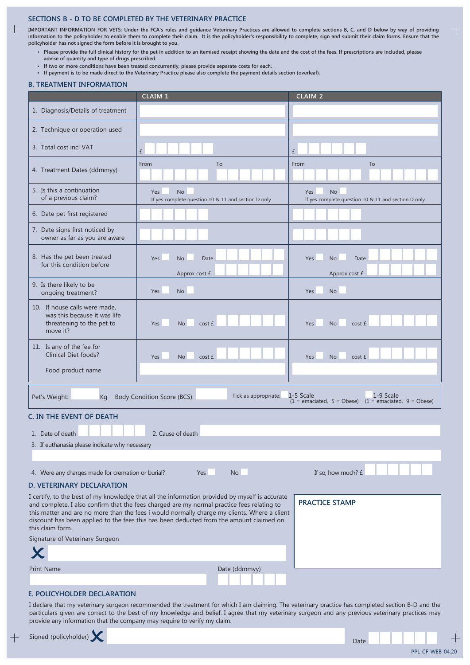#### **SECTioNS B - D To BE ComPlETED BY THE VETEriNarY PraCTiCE**

**imPorTaNT iNFormaTioN For VETS: Under the FCa's rules and guidance Veterinary Practices are allowed to complete sections B, C, and D below by way of providing information to the policyholder to enable them to complete their claim. it is the policyholder's responsibility to complete, sign and submit their claim forms. Ensure that the policyholder has not signed the form before it is brought to you.**

- **Please provide the full clinical history for the pet in addition to an itemised receipt showing the date and the cost of the fees. if prescriptions are included, please advise of quantity and type of drugs prescribed.**
- **if two or more conditions have been treated concurrently, please provide separate costs for each.**
- **if payment is to be made direct to the Veterinary Practice please also complete the payment details section (overleaf).**

### **B. TrEaTmENT iNFormaTioN**

 $\pm$ 

|                                                                                                                                                                                                                                                                                                                                                                                                                                      | CLAIM 1                                                                 | <b>CLAIM 2</b>                                                                      |  |  |  |  |
|--------------------------------------------------------------------------------------------------------------------------------------------------------------------------------------------------------------------------------------------------------------------------------------------------------------------------------------------------------------------------------------------------------------------------------------|-------------------------------------------------------------------------|-------------------------------------------------------------------------------------|--|--|--|--|
| 1. Diagnosis/Details of treatment                                                                                                                                                                                                                                                                                                                                                                                                    |                                                                         |                                                                                     |  |  |  |  |
| 2. Technique or operation used                                                                                                                                                                                                                                                                                                                                                                                                       |                                                                         |                                                                                     |  |  |  |  |
| 3. Total cost incl VAT                                                                                                                                                                                                                                                                                                                                                                                                               | £                                                                       | £                                                                                   |  |  |  |  |
| 4. Treatment Dates (ddmmyy)                                                                                                                                                                                                                                                                                                                                                                                                          | To<br>From                                                              | To<br>From                                                                          |  |  |  |  |
| 5. Is this a continuation<br>of a previous claim?                                                                                                                                                                                                                                                                                                                                                                                    | <b>No</b><br>Yes<br>If yes complete question 10 & 11 and section D only | Yes<br><b>No</b><br>If yes complete question 10 & 11 and section D only             |  |  |  |  |
| 6. Date pet first registered                                                                                                                                                                                                                                                                                                                                                                                                         |                                                                         |                                                                                     |  |  |  |  |
| 7. Date signs first noticed by<br>owner as far as you are aware                                                                                                                                                                                                                                                                                                                                                                      |                                                                         |                                                                                     |  |  |  |  |
| 8. Has the pet been treated<br>for this condition before                                                                                                                                                                                                                                                                                                                                                                             | Yes<br><b>No</b><br>Date<br>Approx cost £                               | Yes<br><b>No</b><br>Date<br>Approx cost £                                           |  |  |  |  |
| 9. Is there likely to be<br>ongoing treatment?                                                                                                                                                                                                                                                                                                                                                                                       | Yes<br><b>No</b>                                                        | Yes<br><b>No</b>                                                                    |  |  |  |  |
| 10. If house calls were made,<br>was this because it was life<br>threatening to the pet to<br>move it?                                                                                                                                                                                                                                                                                                                               | Yes<br><b>No</b><br>cost £                                              | <b>Yes</b><br><b>No</b><br>cost £                                                   |  |  |  |  |
| 11. Is any of the fee for<br><b>Clinical Diet foods?</b>                                                                                                                                                                                                                                                                                                                                                                             | Yes<br><b>No</b><br>cost £                                              | Yes<br><b>No</b><br>cost £                                                          |  |  |  |  |
| Food product name                                                                                                                                                                                                                                                                                                                                                                                                                    |                                                                         |                                                                                     |  |  |  |  |
| Pet's Weight:<br>Kg                                                                                                                                                                                                                                                                                                                                                                                                                  | Tick as appropriate:<br>Body Condition Score (BCS):                     | 1-5 Scale<br>1-9 Scale<br>$(1 =$ emaciated, 5 = Obese) $(1 =$ emaciated, 9 = Obese) |  |  |  |  |
| C. IN THE EVENT OF DEATH                                                                                                                                                                                                                                                                                                                                                                                                             |                                                                         |                                                                                     |  |  |  |  |
| 1. Date of death                                                                                                                                                                                                                                                                                                                                                                                                                     | 2. Cause of death                                                       |                                                                                     |  |  |  |  |
| 3. If euthanasia please indicate why necessary                                                                                                                                                                                                                                                                                                                                                                                       |                                                                         |                                                                                     |  |  |  |  |
|                                                                                                                                                                                                                                                                                                                                                                                                                                      |                                                                         |                                                                                     |  |  |  |  |
| <b>No</b><br>If so, how much? £<br>4. Were any charges made for cremation or burial?<br>Yes                                                                                                                                                                                                                                                                                                                                          |                                                                         |                                                                                     |  |  |  |  |
| <b>D. VETERINARY DECLARATION</b>                                                                                                                                                                                                                                                                                                                                                                                                     |                                                                         |                                                                                     |  |  |  |  |
| I certify, to the best of my knowledge that all the information provided by myself is accurate<br><b>PRACTICE STAMP</b><br>and complete. I also confirm that the fees charged are my normal practice fees relating to<br>this matter and are no more than the fees i would normally charge my clients. Where a client<br>discount has been applied to the fees this has been deducted from the amount claimed on<br>this claim form. |                                                                         |                                                                                     |  |  |  |  |
| Signature of Veterinary Surgeon                                                                                                                                                                                                                                                                                                                                                                                                      |                                                                         |                                                                                     |  |  |  |  |
|                                                                                                                                                                                                                                                                                                                                                                                                                                      |                                                                         |                                                                                     |  |  |  |  |
| <b>Print Name</b><br>Date (ddmmyy)                                                                                                                                                                                                                                                                                                                                                                                                   |                                                                         |                                                                                     |  |  |  |  |
|                                                                                                                                                                                                                                                                                                                                                                                                                                      |                                                                         |                                                                                     |  |  |  |  |

### **E. PoliCYHolDEr DEClaraTioN**

I declare that my veterinary surgeon recommended the treatment for which I am claiming. The veterinary practice has completed section B-D and the particulars given are correct to the best of my knowledge and belief. I agree that my veterinary surgeon and any previous veterinary practices may provide any information that the company may require to verify my claim.



PPL-CF-WEB-04.20

┽

 $\hspace{0.1mm} + \hspace{0.1mm}$